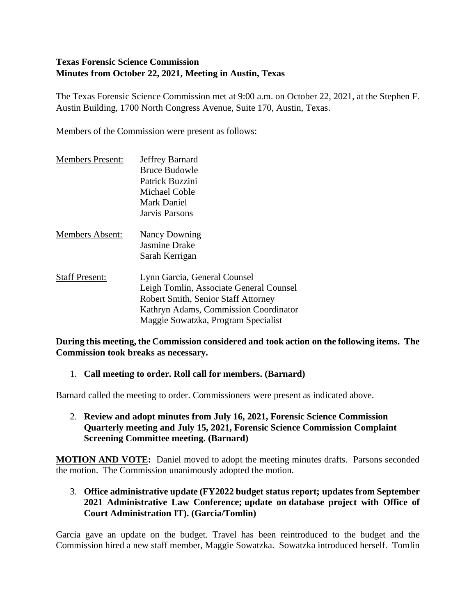# **Texas Forensic Science Commission Minutes from October 22, 2021, Meeting in Austin, Texas**

The Texas Forensic Science Commission met at 9:00 a.m. on October 22, 2021, at the Stephen F. Austin Building, 1700 North Congress Avenue, Suite 170, Austin, Texas.

Members of the Commission were present as follows:

| <b>Members Present:</b> | Jeffrey Barnard<br><b>Bruce Budowle</b><br>Patrick Buzzini<br>Michael Coble<br><b>Mark Daniel</b>                                                                                                                |
|-------------------------|------------------------------------------------------------------------------------------------------------------------------------------------------------------------------------------------------------------|
| <b>Members Absent:</b>  | Jarvis Parsons<br><b>Nancy Downing</b><br><b>Jasmine Drake</b>                                                                                                                                                   |
| <b>Staff Present:</b>   | Sarah Kerrigan<br>Lynn Garcia, General Counsel<br>Leigh Tomlin, Associate General Counsel<br>Robert Smith, Senior Staff Attorney<br>Kathryn Adams, Commission Coordinator<br>Maggie Sowatzka, Program Specialist |

### **During this meeting, the Commission considered and took action on the following items. The Commission took breaks as necessary.**

### 1. **Call meeting to order. Roll call for members. (Barnard)**

Barnard called the meeting to order. Commissioners were present as indicated above.

#### 2. **Review and adopt minutes from July 16, 2021, Forensic Science Commission Quarterly meeting and July 15, 2021, Forensic Science Commission Complaint Screening Committee meeting. (Barnard)**

**MOTION AND VOTE:** Daniel moved to adopt the meeting minutes drafts. Parsons seconded the motion. The Commission unanimously adopted the motion.

### 3. **Office administrative update (FY2022 budget status report; updates from September 2021 Administrative Law Conference; update on database project with Office of Court Administration IT). (Garcia/Tomlin)**

Garcia gave an update on the budget. Travel has been reintroduced to the budget and the Commission hired a new staff member, Maggie Sowatzka. Sowatzka introduced herself. Tomlin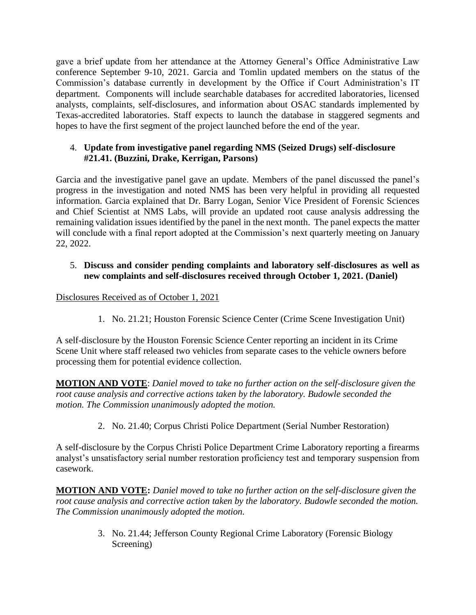gave a brief update from her attendance at the Attorney General's Office Administrative Law conference September 9-10, 2021. Garcia and Tomlin updated members on the status of the Commission's database currently in development by the Office if Court Administration's IT department. Components will include searchable databases for accredited laboratories, licensed analysts, complaints, self-disclosures, and information about OSAC standards implemented by Texas-accredited laboratories. Staff expects to launch the database in staggered segments and hopes to have the first segment of the project launched before the end of the year.

# 4. **Update from investigative panel regarding NMS (Seized Drugs) self-disclosure #21.41. (Buzzini, Drake, Kerrigan, Parsons)**

Garcia and the investigative panel gave an update. Members of the panel discussed the panel's progress in the investigation and noted NMS has been very helpful in providing all requested information. Garcia explained that Dr. Barry Logan, Senior Vice President of Forensic Sciences and Chief Scientist at NMS Labs, will provide an updated root cause analysis addressing the remaining validation issues identified by the panel in the next month. The panel expects the matter will conclude with a final report adopted at the Commission's next quarterly meeting on January 22, 2022.

# 5. **Discuss and consider pending complaints and laboratory self-disclosures as well as new complaints and self-disclosures received through October 1, 2021. (Daniel)**

### Disclosures Received as of October 1, 2021

1. No. 21.21; Houston Forensic Science Center (Crime Scene Investigation Unit)

A self-disclosure by the Houston Forensic Science Center reporting an incident in its Crime Scene Unit where staff released two vehicles from separate cases to the vehicle owners before processing them for potential evidence collection.

**MOTION AND VOTE**: *Daniel moved to take no further action on the self-disclosure given the root cause analysis and corrective actions taken by the laboratory. Budowle seconded the motion. The Commission unanimously adopted the motion.*

2. No. 21.40; Corpus Christi Police Department (Serial Number Restoration)

A self-disclosure by the Corpus Christi Police Department Crime Laboratory reporting a firearms analyst's unsatisfactory serial number restoration proficiency test and temporary suspension from casework.

**MOTION AND VOTE:** *Daniel moved to take no further action on the self-disclosure given the root cause analysis and corrective action taken by the laboratory. Budowle seconded the motion. The Commission unanimously adopted the motion.*

> 3. No. 21.44; Jefferson County Regional Crime Laboratory (Forensic Biology Screening)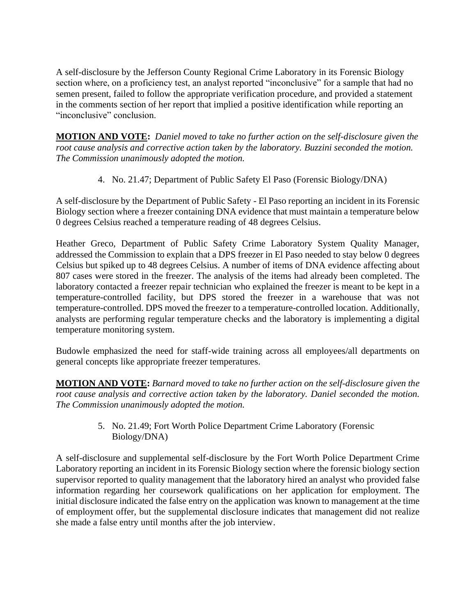A self-disclosure by the Jefferson County Regional Crime Laboratory in its Forensic Biology section where, on a proficiency test, an analyst reported "inconclusive" for a sample that had no semen present, failed to follow the appropriate verification procedure, and provided a statement in the comments section of her report that implied a positive identification while reporting an "inconclusive" conclusion.

**MOTION AND VOTE:** *Daniel moved to take no further action on the self-disclosure given the root cause analysis and corrective action taken by the laboratory. Buzzini seconded the motion. The Commission unanimously adopted the motion.*

4. No. 21.47; Department of Public Safety El Paso (Forensic Biology/DNA)

A self-disclosure by the Department of Public Safety - El Paso reporting an incident in its Forensic Biology section where a freezer containing DNA evidence that must maintain a temperature below 0 degrees Celsius reached a temperature reading of 48 degrees Celsius.

Heather Greco, Department of Public Safety Crime Laboratory System Quality Manager, addressed the Commission to explain that a DPS freezer in El Paso needed to stay below 0 degrees Celsius but spiked up to 48 degrees Celsius. A number of items of DNA evidence affecting about 807 cases were stored in the freezer. The analysis of the items had already been completed. The laboratory contacted a freezer repair technician who explained the freezer is meant to be kept in a temperature-controlled facility, but DPS stored the freezer in a warehouse that was not temperature-controlled. DPS moved the freezer to a temperature-controlled location. Additionally, analysts are performing regular temperature checks and the laboratory is implementing a digital temperature monitoring system.

Budowle emphasized the need for staff-wide training across all employees/all departments on general concepts like appropriate freezer temperatures.

**MOTION AND VOTE:** *Barnard moved to take no further action on the self-disclosure given the root cause analysis and corrective action taken by the laboratory. Daniel seconded the motion. The Commission unanimously adopted the motion.* 

> 5. No. 21.49; Fort Worth Police Department Crime Laboratory (Forensic Biology/DNA)

A self-disclosure and supplemental self-disclosure by the Fort Worth Police Department Crime Laboratory reporting an incident in its Forensic Biology section where the forensic biology section supervisor reported to quality management that the laboratory hired an analyst who provided false information regarding her coursework qualifications on her application for employment. The initial disclosure indicated the false entry on the application was known to management at the time of employment offer, but the supplemental disclosure indicates that management did not realize she made a false entry until months after the job interview.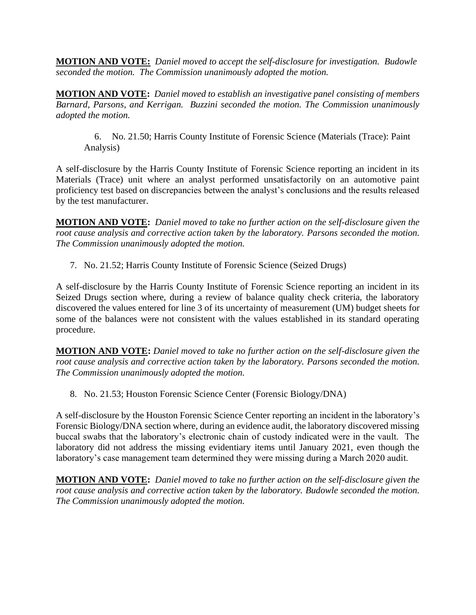**MOTION AND VOTE:** *Daniel moved to accept the self-disclosure for investigation. Budowle seconded the motion. The Commission unanimously adopted the motion.*

**MOTION AND VOTE:** *Daniel moved to establish an investigative panel consisting of members Barnard, Parsons, and Kerrigan. Buzzini seconded the motion. The Commission unanimously adopted the motion.*

6. No. 21.50; Harris County Institute of Forensic Science (Materials (Trace): Paint Analysis)

A self-disclosure by the Harris County Institute of Forensic Science reporting an incident in its Materials (Trace) unit where an analyst performed unsatisfactorily on an automotive paint proficiency test based on discrepancies between the analyst's conclusions and the results released by the test manufacturer.

**MOTION AND VOTE:** *Daniel moved to take no further action on the self-disclosure given the root cause analysis and corrective action taken by the laboratory. Parsons seconded the motion. The Commission unanimously adopted the motion.*

7. No. 21.52; Harris County Institute of Forensic Science (Seized Drugs)

A self-disclosure by the Harris County Institute of Forensic Science reporting an incident in its Seized Drugs section where, during a review of balance quality check criteria, the laboratory discovered the values entered for line 3 of its uncertainty of measurement (UM) budget sheets for some of the balances were not consistent with the values established in its standard operating procedure.

**MOTION AND VOTE:** *Daniel moved to take no further action on the self-disclosure given the root cause analysis and corrective action taken by the laboratory. Parsons seconded the motion. The Commission unanimously adopted the motion.*

8. No. 21.53; Houston Forensic Science Center (Forensic Biology/DNA)

A self-disclosure by the Houston Forensic Science Center reporting an incident in the laboratory's Forensic Biology/DNA section where, during an evidence audit, the laboratory discovered missing buccal swabs that the laboratory's electronic chain of custody indicated were in the vault. The laboratory did not address the missing evidentiary items until January 2021, even though the laboratory's case management team determined they were missing during a March 2020 audit.

**MOTION AND VOTE:** *Daniel moved to take no further action on the self-disclosure given the root cause analysis and corrective action taken by the laboratory. Budowle seconded the motion. The Commission unanimously adopted the motion.*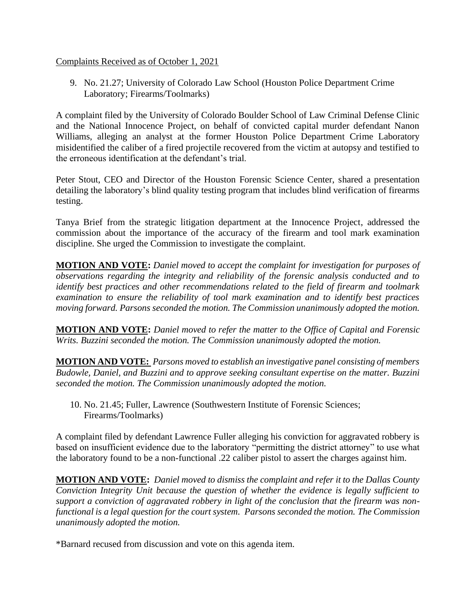#### Complaints Received as of October 1, 2021

9. No. 21.27; University of Colorado Law School (Houston Police Department Crime Laboratory; Firearms/Toolmarks)

A complaint filed by the University of Colorado Boulder School of Law Criminal Defense Clinic and the National Innocence Project, on behalf of convicted capital murder defendant Nanon Williams, alleging an analyst at the former Houston Police Department Crime Laboratory misidentified the caliber of a fired projectile recovered from the victim at autopsy and testified to the erroneous identification at the defendant's trial.

Peter Stout, CEO and Director of the Houston Forensic Science Center, shared a presentation detailing the laboratory's blind quality testing program that includes blind verification of firearms testing.

Tanya Brief from the strategic litigation department at the Innocence Project, addressed the commission about the importance of the accuracy of the firearm and tool mark examination discipline. She urged the Commission to investigate the complaint.

**MOTION AND VOTE:** *Daniel moved to accept the complaint for investigation for purposes of observations regarding the integrity and reliability of the forensic analysis conducted and to identify best practices and other recommendations related to the field of firearm and toolmark examination to ensure the reliability of tool mark examination and to identify best practices moving forward. Parsons seconded the motion. The Commission unanimously adopted the motion.*

**MOTION AND VOTE:** *Daniel moved to refer the matter to the Office of Capital and Forensic Writs. Buzzini seconded the motion. The Commission unanimously adopted the motion.*

**MOTION AND VOTE:** *Parsons moved to establish an investigative panel consisting of members Budowle, Daniel, and Buzzini and to approve seeking consultant expertise on the matter. Buzzini seconded the motion. The Commission unanimously adopted the motion.*

10. No. 21.45; Fuller, Lawrence (Southwestern Institute of Forensic Sciences; Firearms/Toolmarks)

A complaint filed by defendant Lawrence Fuller alleging his conviction for aggravated robbery is based on insufficient evidence due to the laboratory "permitting the district attorney" to use what the laboratory found to be a non-functional .22 caliber pistol to assert the charges against him.

**MOTION AND VOTE:** *Daniel moved to dismiss the complaint and refer it to the Dallas County Conviction Integrity Unit because the question of whether the evidence is legally sufficient to support a conviction of aggravated robbery in light of the conclusion that the firearm was nonfunctional is a legal question for the court system. Parsons seconded the motion. The Commission unanimously adopted the motion.*

\*Barnard recused from discussion and vote on this agenda item.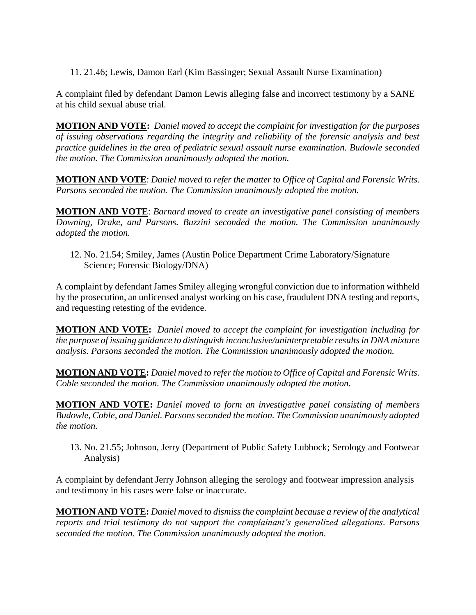11. 21.46; Lewis, Damon Earl (Kim Bassinger; Sexual Assault Nurse Examination)

A complaint filed by defendant Damon Lewis alleging false and incorrect testimony by a SANE at his child sexual abuse trial.

**MOTION AND VOTE:** *Daniel moved to accept the complaint for investigation for the purposes of issuing observations regarding the integrity and reliability of the forensic analysis and best practice guidelines in the area of pediatric sexual assault nurse examination. Budowle seconded the motion. The Commission unanimously adopted the motion.*

**MOTION AND VOTE**: *Daniel moved to refer the matter to Office of Capital and Forensic Writs. Parsons seconded the motion. The Commission unanimously adopted the motion.* 

**MOTION AND VOTE**: *Barnard moved to create an investigative panel consisting of members Downing, Drake, and Parsons. Buzzini seconded the motion. The Commission unanimously adopted the motion.*

12. No. 21.54; Smiley, James (Austin Police Department Crime Laboratory/Signature Science; Forensic Biology/DNA)

A complaint by defendant James Smiley alleging wrongful conviction due to information withheld by the prosecution, an unlicensed analyst working on his case, fraudulent DNA testing and reports, and requesting retesting of the evidence.

**MOTION AND VOTE:** *Daniel moved to accept the complaint for investigation including for the purpose of issuing guidance to distinguish inconclusive/uninterpretable results in DNA mixture analysis. Parsons seconded the motion. The Commission unanimously adopted the motion.* 

**MOTION AND VOTE:** *Daniel moved to refer the motion to Office of Capital and Forensic Writs. Coble seconded the motion. The Commission unanimously adopted the motion.*

**MOTION AND VOTE:** *Daniel moved to form an investigative panel consisting of members Budowle, Coble, and Daniel. Parsons seconded the motion. The Commission unanimously adopted the motion.*

13. No. 21.55; Johnson, Jerry (Department of Public Safety Lubbock; Serology and Footwear Analysis)

A complaint by defendant Jerry Johnson alleging the serology and footwear impression analysis and testimony in his cases were false or inaccurate.

**MOTION AND VOTE:** *Daniel moved to dismiss the complaint because a review of the analytical reports and trial testimony do not support the complainant's generalized allegations. Parsons seconded the motion. The Commission unanimously adopted the motion.*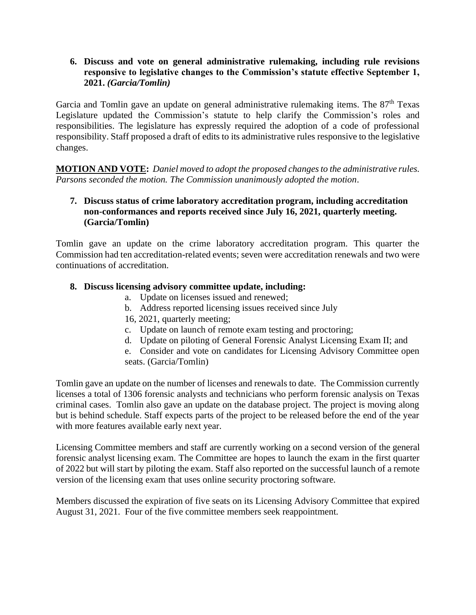**6. Discuss and vote on general administrative rulemaking, including rule revisions responsive to legislative changes to the Commission's statute effective September 1, 2021.** *(Garcia/Tomlin)* 

Garcia and Tomlin gave an update on general administrative rulemaking items. The 87<sup>th</sup> Texas Legislature updated the Commission's statute to help clarify the Commission's roles and responsibilities. The legislature has expressly required the adoption of a code of professional responsibility. Staff proposed a draft of edits to its administrative rules responsive to the legislative changes.

**MOTION AND VOTE:** *Daniel moved to adopt the proposed changes to the administrative rules. Parsons seconded the motion. The Commission unanimously adopted the motion*.

#### **7. Discuss status of crime laboratory accreditation program, including accreditation non-conformances and reports received since July 16, 2021, quarterly meeting. (Garcia/Tomlin)**

Tomlin gave an update on the crime laboratory accreditation program. This quarter the Commission had ten accreditation-related events; seven were accreditation renewals and two were continuations of accreditation.

### **8. Discuss licensing advisory committee update, including:**

- a. Update on licenses issued and renewed;
- b. Address reported licensing issues received since July
- 16, 2021, quarterly meeting;
- c. Update on launch of remote exam testing and proctoring;
- d. Update on piloting of General Forensic Analyst Licensing Exam II; and
- e. Consider and vote on candidates for Licensing Advisory Committee open seats. (Garcia/Tomlin)

Tomlin gave an update on the number of licenses and renewals to date. The Commission currently licenses a total of 1306 forensic analysts and technicians who perform forensic analysis on Texas criminal cases. Tomlin also gave an update on the database project. The project is moving along but is behind schedule. Staff expects parts of the project to be released before the end of the year with more features available early next year.

Licensing Committee members and staff are currently working on a second version of the general forensic analyst licensing exam. The Committee are hopes to launch the exam in the first quarter of 2022 but will start by piloting the exam. Staff also reported on the successful launch of a remote version of the licensing exam that uses online security proctoring software.

Members discussed the expiration of five seats on its Licensing Advisory Committee that expired August 31, 2021. Four of the five committee members seek reappointment.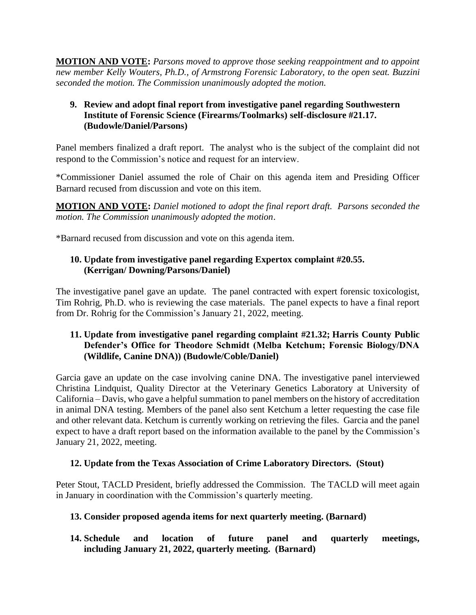**MOTION AND VOTE:** *Parsons moved to approve those seeking reappointment and to appoint new member Kelly Wouters, Ph.D., of Armstrong Forensic Laboratory, to the open seat. Buzzini seconded the motion. The Commission unanimously adopted the motion.*

### **9. Review and adopt final report from investigative panel regarding Southwestern Institute of Forensic Science (Firearms/Toolmarks) self-disclosure #21.17. (Budowle/Daniel/Parsons)**

Panel members finalized a draft report. The analyst who is the subject of the complaint did not respond to the Commission's notice and request for an interview.

\*Commissioner Daniel assumed the role of Chair on this agenda item and Presiding Officer Barnard recused from discussion and vote on this item.

**MOTION AND VOTE:** *Daniel motioned to adopt the final report draft. Parsons seconded the motion. The Commission unanimously adopted the motion*.

\*Barnard recused from discussion and vote on this agenda item.

#### **10. Update from investigative panel regarding Expertox complaint #20.55. (Kerrigan/ Downing/Parsons/Daniel)**

The investigative panel gave an update. The panel contracted with expert forensic toxicologist, Tim Rohrig, Ph.D. who is reviewing the case materials. The panel expects to have a final report from Dr. Rohrig for the Commission's January 21, 2022, meeting.

### **11. Update from investigative panel regarding complaint #21.32; Harris County Public Defender's Office for Theodore Schmidt (Melba Ketchum; Forensic Biology/DNA (Wildlife, Canine DNA)) (Budowle/Coble/Daniel)**

Garcia gave an update on the case involving canine DNA. The investigative panel interviewed Christina Lindquist, Quality Director at the Veterinary Genetics Laboratory at University of California – Davis, who gave a helpful summation to panel members on the history of accreditation in animal DNA testing. Members of the panel also sent Ketchum a letter requesting the case file and other relevant data. Ketchum is currently working on retrieving the files. Garcia and the panel expect to have a draft report based on the information available to the panel by the Commission's January 21, 2022, meeting.

### **12. Update from the Texas Association of Crime Laboratory Directors. (Stout)**

Peter Stout, TACLD President, briefly addressed the Commission. The TACLD will meet again in January in coordination with the Commission's quarterly meeting.

### **13. Consider proposed agenda items for next quarterly meeting. (Barnard)**

**14. Schedule and location of future panel and quarterly meetings, including January 21, 2022, quarterly meeting. (Barnard)**